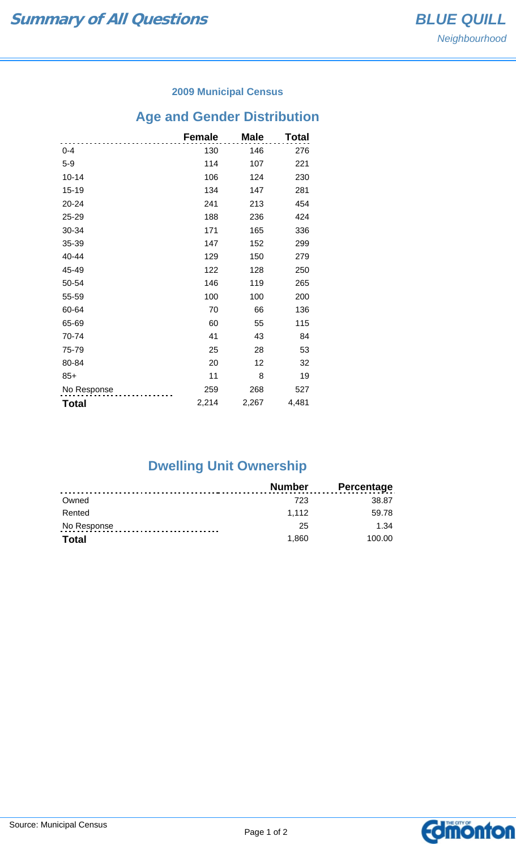#### **2009 Municipal Census**

# **Age and Gender Distribution**

|              | <b>Female</b> | <b>Male</b> | Total |
|--------------|---------------|-------------|-------|
| $0 - 4$      | 130           | 146         | 276   |
| $5-9$        | 114           | 107         | 221   |
| $10 - 14$    | 106           | 124         | 230   |
| 15-19        | 134           | 147         | 281   |
| 20-24        | 241           | 213         | 454   |
| 25-29        | 188           | 236         | 424   |
| 30-34        | 171           | 165         | 336   |
| 35-39        | 147           | 152         | 299   |
| 40-44        | 129           | 150         | 279   |
| 45-49        | 122           | 128         | 250   |
| 50-54        | 146           | 119         | 265   |
| 55-59        | 100           | 100         | 200   |
| 60-64        | 70            | 66          | 136   |
| 65-69        | 60            | 55          | 115   |
| 70-74        | 41            | 43          | 84    |
| 75-79        | 25            | 28          | 53    |
| 80-84        | 20            | 12          | 32    |
| $85+$        | 11            | 8           | 19    |
| No Response  | 259           | 268         | 527   |
| <b>Total</b> | 2,214         | 2,267       | 4,481 |

### **Dwelling Unit Ownership**

|              | Number | <b>Percentage</b> |
|--------------|--------|-------------------|
| Owned        | 723    | 38.87             |
| Rented       | 1.112  | 59.78             |
| No Response  | 25     | 1.34              |
| <b>Total</b> | 1.860  | 100.00            |